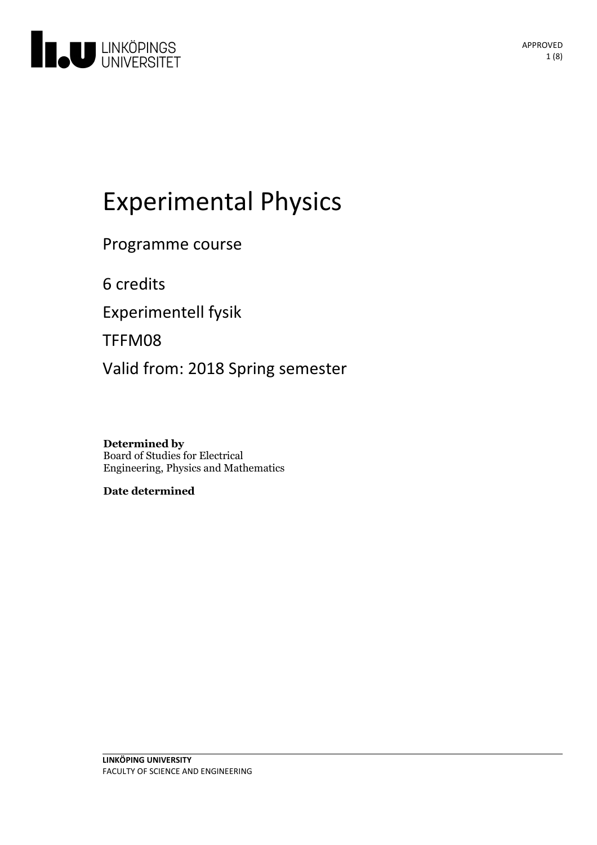

# Experimental Physics

Programme course

6 credits

Experimentell fysik

TFFM08

Valid from: 2018 Spring semester

**Determined by** Board of Studies for Electrical Engineering, Physics and Mathematics

**Date determined**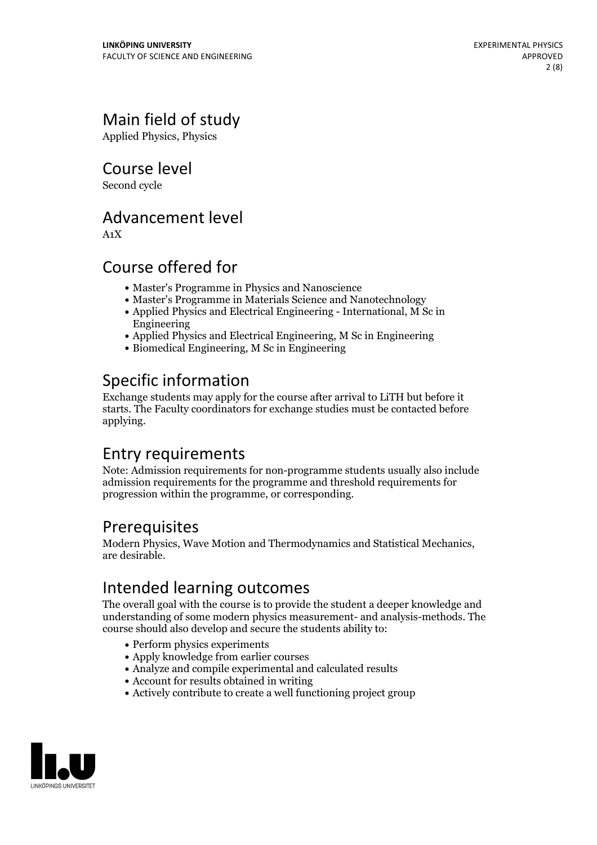# Main field of study

Applied Physics, Physics

Course level

Second cycle

### Advancement level

A1X

### Course offered for

- Master's Programme in Physics and Nanoscience
- Master's Programme in Materials Science and Nanotechnology
- Applied Physics and Electrical Engineering International, M Sc in Engineering
- Applied Physics and Electrical Engineering, M Sc in Engineering
- Biomedical Engineering, M Sc in Engineering

# Specific information

Exchange students may apply for the course after arrival to LiTH but before it starts. The Faculty coordinators for exchange studies must be contacted before applying.

# Entry requirements

Note: Admission requirements for non-programme students usually also include admission requirements for the programme and threshold requirements for progression within the programme, or corresponding.

### Prerequisites

Modern Physics, Wave Motion and Thermodynamics and Statistical Mechanics, are desirable.

# Intended learning outcomes

The overall goal with the course is to provide the student a deeper knowledge and understanding of some modern physics measurement- and analysis-methods. The course should also develop and secure the students ability to:

- Perform physics experiments
- Apply knowledge from earlier courses
- Analyze and compile experimental and calculated results
- Account for results obtained in writing
- Actively contribute to create a well functioning project group

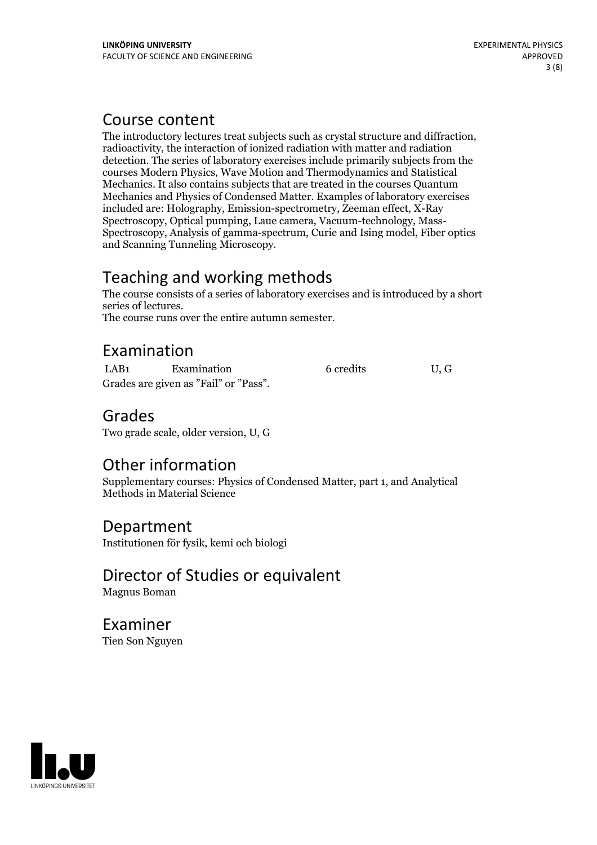### Course content

The introductory lectures treat subjects such as crystal structure and diffraction, radioactivity, the interaction of ionized radiation with matter and radiation detection. The series of laboratory exercises include primarily subjects from the courses Modern Physics, Wave Motion and Thermodynamics and Statistical Mechanics. It also contains subjects that are treated in the courses Quantum Mechanics and Physics of Condensed Matter. Examples of laboratory exercises included are: Holography, Emission-spectrometry, Zeeman effect, X-Ray Spectroscopy, Analysis of gamma-spectrum, Curie and Ising model, Fiber optics and Scanning Tunneling Microscopy.

# Teaching and working methods

The course consists of a series of laboratory exercises and is introduced by a short

The course runs over the entire autumn semester.

# Examination

LAB1 Examination 6 credits U, G Grades are given as"Fail" or "Pass".

### Grades

Two grade scale, older version, U, G

# Other information

Supplementary courses: Physics of Condensed Matter, part 1, and Analytical Methods in Material Science

#### Department Institutionen för fysik, kemi och biologi

# Director of Studies or equivalent

Magnus Boman

### Examiner Tien Son Nguyen

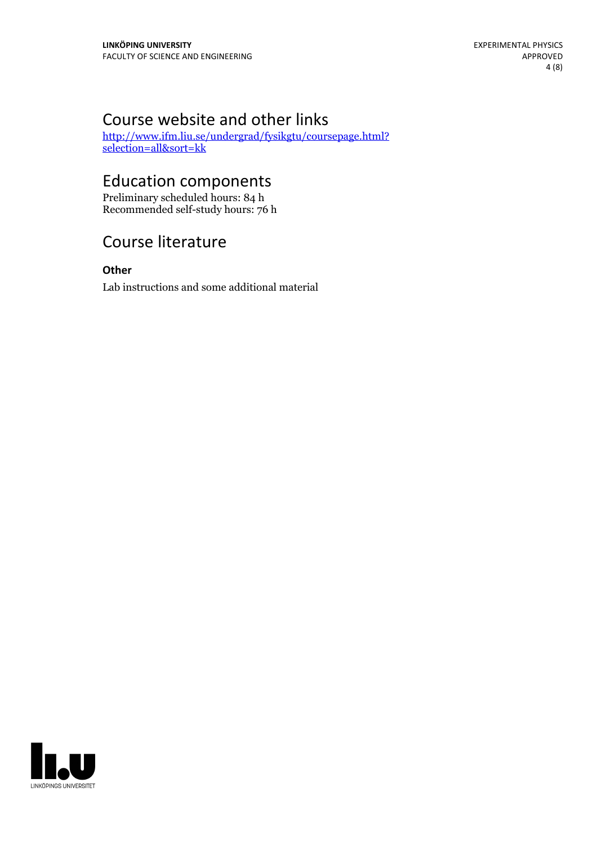# Course website and other links

[http://www.ifm.liu.se/undergrad/fysikgtu/coursepage.html?](http://www.ifm.liu.se/undergrad/fysikgtu/coursepage.html?selection=all&sort=kk) selection=all&sort=kk

# Education components

Preliminary scheduled hours: 84 h Recommended self-study hours: 76 h

# Course literature

**Other** Lab instructions and some additional material

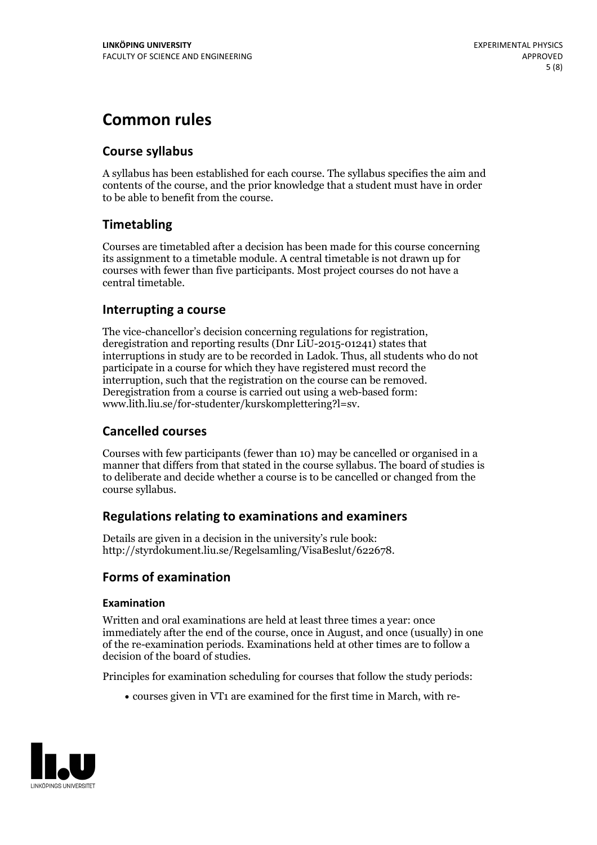# **Common rules**

#### **Course syllabus**

A syllabus has been established for each course. The syllabus specifies the aim and contents of the course, and the prior knowledge that a student must have in order to be able to benefit from the course.

### **Timetabling**

Courses are timetabled after a decision has been made for this course concerning its assignment to a timetable module. A central timetable is not drawn up for courses with fewer than five participants. Most project courses do not have a central timetable.

#### **Interrupting a course**

The vice-chancellor's decision concerning regulations for registration, deregistration and reporting results (Dnr LiU-2015-01241) states that interruptions in study are to be recorded in Ladok. Thus, all students who do not participate in a course for which they have registered must record the interruption, such that the registration on the course can be removed. Deregistration from <sup>a</sup> course is carried outusing <sup>a</sup> web-based form: www.lith.liu.se/for-studenter/kurskomplettering?l=sv.

#### **Cancelled courses**

Courses with few participants (fewer than 10) may be cancelled or organised in a manner that differs from that stated in the course syllabus. The board of studies is to deliberate and decide whether a course is to be cancelled orchanged from the course syllabus.

#### **Regulations relatingto examinations and examiners**

Details are given in a decision in the university's rule book: http://styrdokument.liu.se/Regelsamling/VisaBeslut/622678.

#### **Forms of examination**

#### **Examination**

Written and oral examinations are held at least three times a year: once immediately after the end of the course, once in August, and once (usually) in one of the re-examination periods. Examinations held at other times are to follow a decision of the board of studies.

Principles for examination scheduling for courses that follow the study periods:

courses given in VT1 are examined for the first time in March, with re-

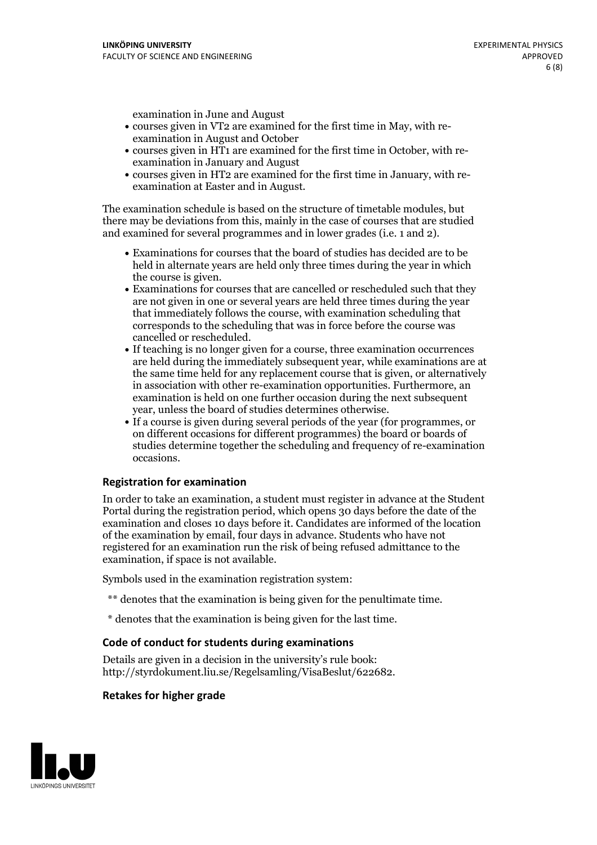examination in June and August

- courses given in VT2 are examined for the first time in May, with re-examination in August and October
- courses given in HT1 are examined for the first time in October, with re-examination in January and August
- courses given in HT2 are examined for the first time in January, with re-examination at Easter and in August.

The examination schedule is based on the structure of timetable modules, but there may be deviations from this, mainly in the case of courses that are studied and examined for several programmes and in lower grades (i.e. 1 and 2).

- Examinations for courses that the board of studies has decided are to be held in alternate years are held only three times during the year in which
- the course is given.<br>• Examinations for courses that are cancelled or rescheduled such that they are not given in one or several years are held three times during the year that immediately follows the course, with examination scheduling that corresponds to the scheduling that was in force before the course was cancelled or rescheduled.<br>• If teaching is no longer given for a course, three examination occurrences
- are held during the immediately subsequent year, while examinations are at the same time held for any replacement course that is given, or alternatively in association with other re-examination opportunities. Furthermore, an examination is held on one further occasion during the next subsequent year, unless the board of studies determines otherwise.<br>• If a course is given during several periods of the year (for programmes, or
- on different occasions for different programmes) the board orboards of studies determine together the scheduling and frequency of re-examination occasions.

#### **Registration for examination**

In order to take an examination, a student must register in advance at the Student Portal during the registration period, which opens 30 days before the date of the examination and closes 10 days before it. Candidates are informed of the location of the examination by email, four days in advance. Students who have not registered for an examination run the risk of being refused admittance to the examination, if space is not available.

Symbols used in the examination registration system:

- \*\* denotes that the examination is being given for the penultimate time.
- \* denotes that the examination is being given for the last time.

#### **Code of conduct for students during examinations**

Details are given in a decision in the university's rule book: http://styrdokument.liu.se/Regelsamling/VisaBeslut/622682.

#### **Retakes for higher grade**

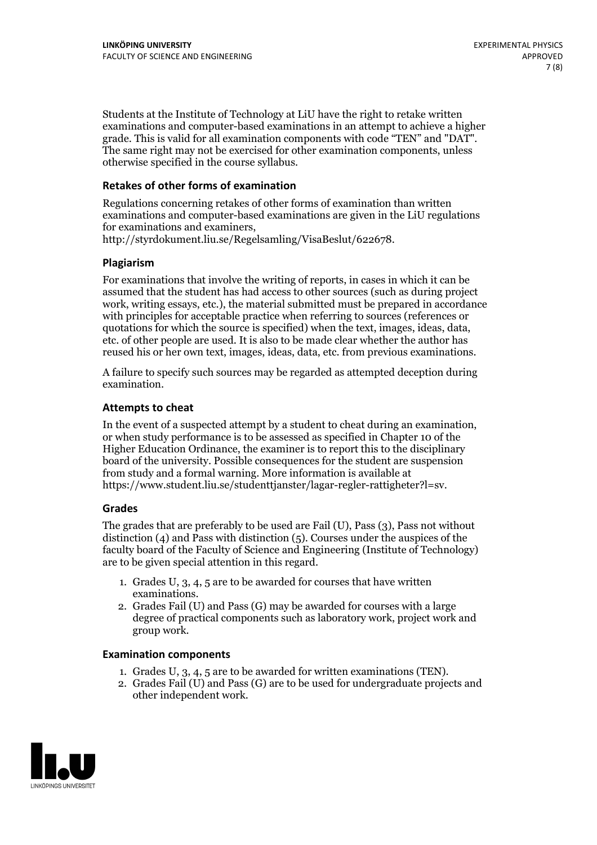Students at the Institute of Technology at LiU have the right to retake written examinations and computer-based examinations in an attempt to achieve a higher grade. This is valid for all examination components with code "TEN" and "DAT". The same right may not be exercised for other examination components, unless otherwise specified in the course syllabus.

#### **Retakes of other forms of examination**

Regulations concerning retakes of other forms of examination than written examinations and computer-based examinations are given in the LiU regulations for examinations and examiners, http://styrdokument.liu.se/Regelsamling/VisaBeslut/622678.

#### **Plagiarism**

For examinations that involve the writing of reports, in cases in which it can be assumed that the student has had access to other sources (such as during project work, writing essays, etc.), the material submitted must be prepared in accordance with principles for acceptable practice when referring to sources (references or quotations for which the source is specified) when the text, images, ideas, data, etc. of other people are used. It is also to be made clear whether the author has reused his or her own text, images, ideas, data, etc. from previous examinations.

A failure to specify such sources may be regarded as attempted deception during examination.

#### **Attempts to cheat**

In the event of <sup>a</sup> suspected attempt by <sup>a</sup> student to cheat during an examination, or when study performance is to be assessed as specified in Chapter <sup>10</sup> of the Higher Education Ordinance, the examiner is to report this to the disciplinary board of the university. Possible consequences for the student are suspension from study and a formal warning. More information is available at https://www.student.liu.se/studenttjanster/lagar-regler-rattigheter?l=sv.

#### **Grades**

The grades that are preferably to be used are Fail (U), Pass (3), Pass not without distinction  $(4)$  and Pass with distinction  $(5)$ . Courses under the auspices of the faculty board of the Faculty of Science and Engineering (Institute of Technology) are to be given special attention in this regard.

- 1. Grades U, 3, 4, 5 are to be awarded for courses that have written
- examinations. 2. Grades Fail (U) and Pass (G) may be awarded for courses with <sup>a</sup> large degree of practical components such as laboratory work, project work and group work.

#### **Examination components**

- 
- 1. Grades U, 3, 4, <sup>5</sup> are to be awarded for written examinations (TEN). 2. Grades Fail (U) and Pass (G) are to be used for undergraduate projects and other independent work.